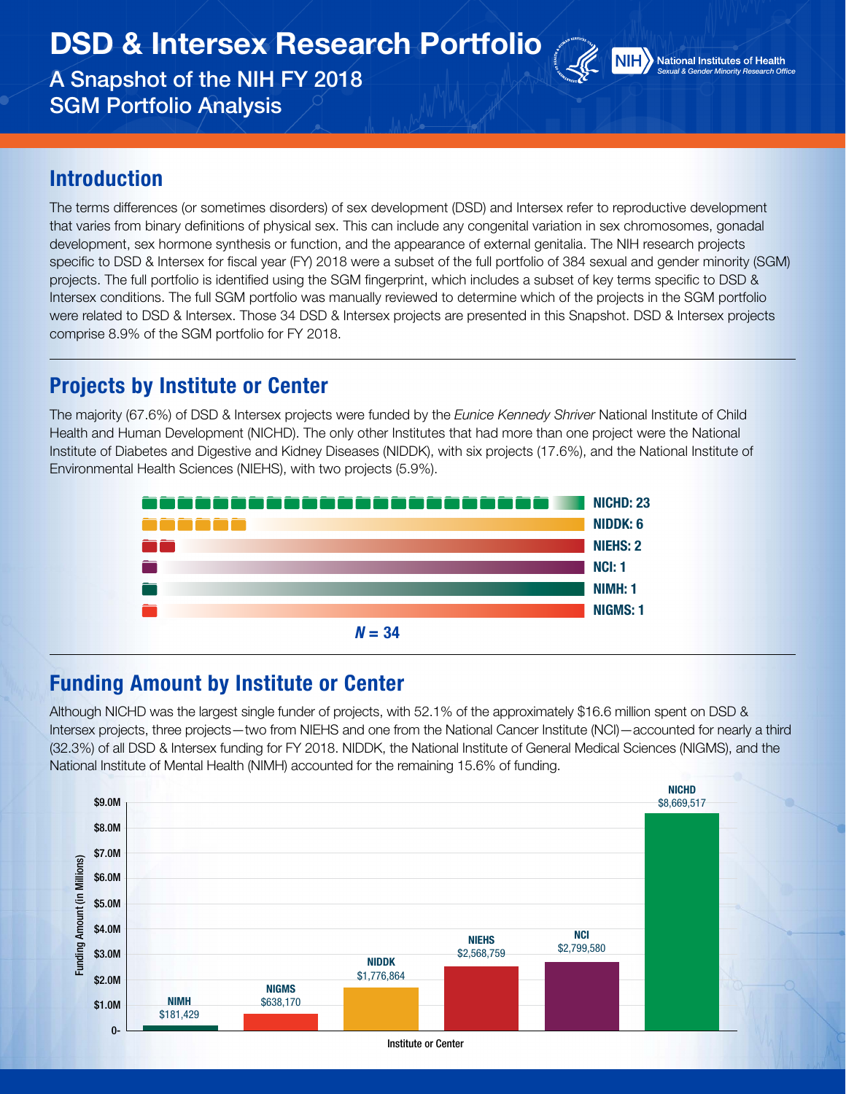DSD & Intersex Research Portfolio

A Snapshot of the NIH FY 2018 SGM Portfolio Analysis



**NIH** National Institutes of Health *Sexual & Gender Minority Research Office*

#### Introduction

The terms differences (or sometimes disorders) of sex development (DSD) and Intersex refer to reproductive development that varies from binary definitions of physical sex. This can include any congenital variation in sex chromosomes, gonadal development, sex hormone synthesis or function, and the appearance of external genitalia. The NIH research projects specific to DSD & Intersex for fiscal year (FY) 2018 were a subset of the full portfolio of 384 sexual and gender minority (SGM) projects. The full portfolio is identified using the SGM fingerprint, which includes a subset of key terms specific to DSD & Intersex conditions. The full SGM portfolio was manually reviewed to determine which of the projects in the SGM portfolio were related to DSD & Intersex. Those 34 DSD & Intersex projects are presented in this Snapshot. DSD & Intersex projects comprise 8.9% of the SGM portfolio for FY 2018.

## Projects by Institute or Center

The majority (67.6%) of DSD & Intersex projects were funded by the *Eunice Kennedy Shriver* National Institute of Child Health and Human Development (NICHD). The only other Institutes that had more than one project were the National Institute of Diabetes and Digestive and Kidney Diseases (NIDDK), with six projects (17.6%), and the National Institute of Environmental Health Sciences (NIEHS), with two projects (5.9%).



### Funding Amount by Institute or Center

Although NICHD was the largest single funder of projects, with 52.1% of the approximately \$16.6 million spent on DSD & Intersex projects, three projects—two from NIEHS and one from the National Cancer Institute (NCI)—accounted for nearly a third (32.3%) of all DSD & Intersex funding for FY 2018. NIDDK, the National Institute of General Medical Sciences (NIGMS), and the National Institute of Mental Health (NIMH) accounted for the remaining 15.6% of funding.